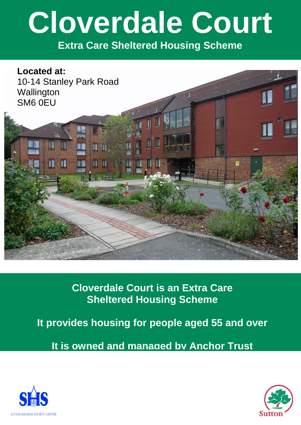# **Cloverdale Court**

**Extra Care Sheltered Housing Scheme**



**Cloverdale Court is an Extra Care Sheltered Housing Scheme**

**It provides housing for people aged 55 and over**

**It is owned and managed by Anchor Trust**